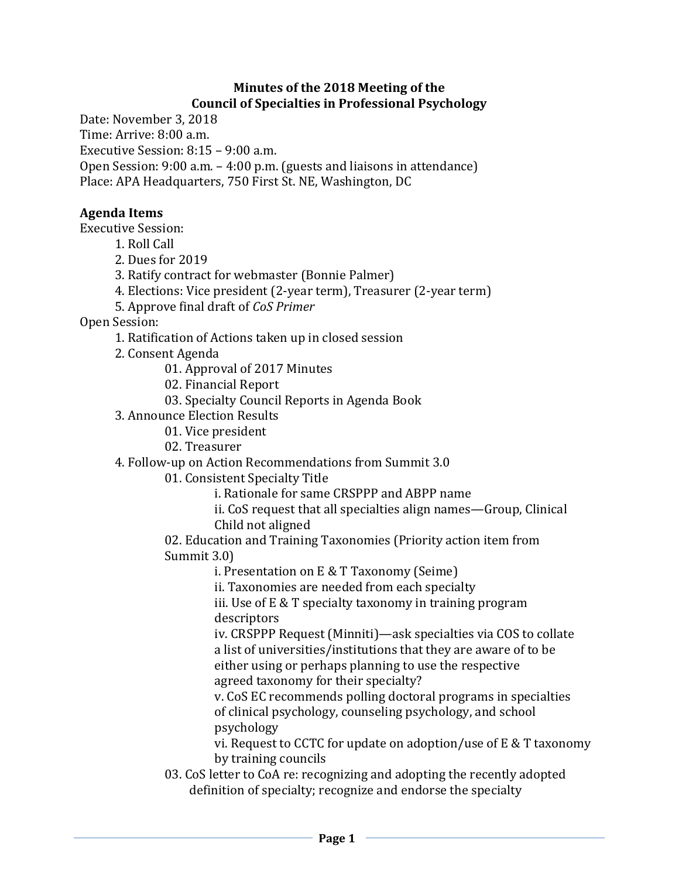#### **Minutes of the 2018 Meeting of the Council of Specialties in Professional Psychology**

Date: November 3, 2018 Time: Arrive: 8:00 a.m. Executive Session: 8:15 – 9:00 a.m. Open Session: 9:00 a.m. – 4:00 p.m. (guests and liaisons in attendance) Place: APA Headquarters, 750 First St. NE, Washington, DC

#### **Agenda Items**

Executive Session:

- 1. Roll Call
- 2. Dues for 2019

3. Ratify contract for webmaster (Bonnie Palmer)

- 4. Elections: Vice president (2-year term), Treasurer (2-year term)
- 5. Approve final draft of *CoS Primer*

Open Session:

- 1. Ratification of Actions taken up in closed session
- 2. Consent Agenda

01. Approval of 2017 Minutes

- 02. Financial Report
- 03. Specialty Council Reports in Agenda Book
- 3. Announce Election Results
	- 01. Vice president

02. Treasurer

4. Follow-up on Action Recommendations from Summit 3.0

01. Consistent Specialty Title

i. Rationale for same CRSPPP and ABPP name

ii. CoS request that all specialties align names—Group, Clinical Child not aligned

02. Education and Training Taxonomies (Priority action item from Summit 3.0)

i. Presentation on E & T Taxonomy (Seime)

ii. Taxonomies are needed from each specialty

iii. Use of E & T specialty taxonomy in training program descriptors

iv. CRSPPP Request (Minniti)—ask specialties via COS to collate a list of universities/institutions that they are aware of to be either using or perhaps planning to use the respective agreed taxonomy for their specialty?

v. CoS EC recommends polling doctoral programs in specialties of clinical psychology, counseling psychology, and school psychology

vi. Request to CCTC for update on adoption/use of E & T taxonomy by training councils

03. CoS letter to CoA re: recognizing and adopting the recently adopted definition of specialty; recognize and endorse the specialty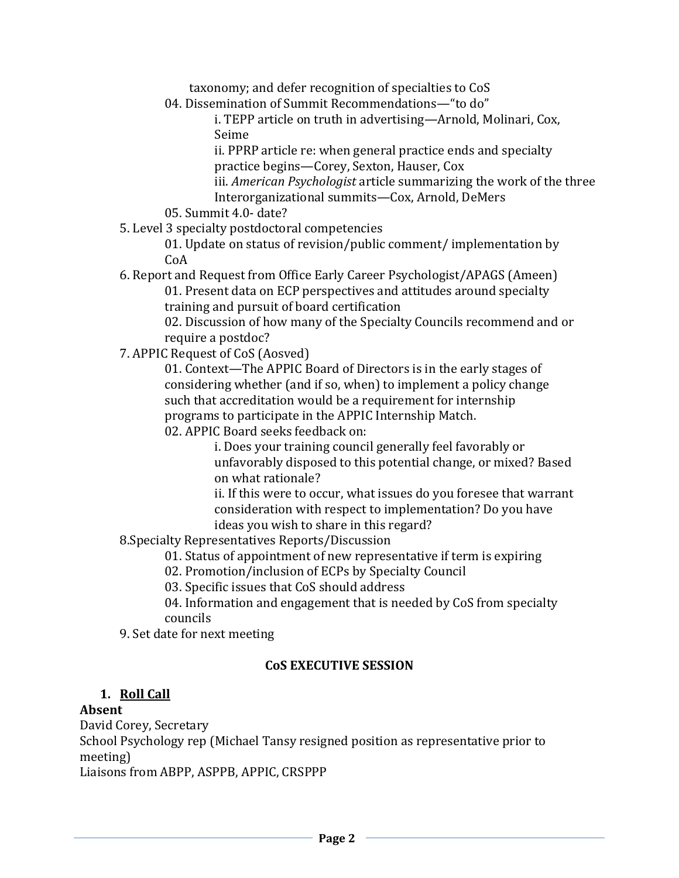taxonomy; and defer recognition of specialties to CoS

04. Dissemination of Summit Recommendations—"to do"

i. TEPP article on truth in advertising—Arnold, Molinari, Cox, Seime

ii. PPRP article re: when general practice ends and specialty practice begins—Corey, Sexton, Hauser, Cox

iii. *American Psychologist* article summarizing the work of the three Interorganizational summits—Cox, Arnold, DeMers

05. Summit 4.0- date?

5. Level 3 specialty postdoctoral competencies

01. Update on status of revision/public comment/ implementation by CoA

6. Report and Request from Office Early Career Psychologist/APAGS (Ameen) 01. Present data on ECP perspectives and attitudes around specialty training and pursuit of board certification

02. Discussion of how many of the Specialty Councils recommend and or require a postdoc?

7. APPIC Request of CoS (Aosved)

01. Context—The APPIC Board of Directors is in the early stages of considering whether (and if so, when) to implement a policy change such that accreditation would be a requirement for internship programs to participate in the APPIC Internship Match.

02. APPIC Board seeks feedback on:

i. Does your training council generally feel favorably or unfavorably disposed to this potential change, or mixed? Based on what rationale?

ii. If this were to occur, what issues do you foresee that warrant consideration with respect to implementation? Do you have ideas you wish to share in this regard?

8.Specialty Representatives Reports/Discussion

01. Status of appointment of new representative if term is expiring

02. Promotion/inclusion of ECPs by Specialty Council

03. Specific issues that CoS should address

04. Information and engagement that is needed by CoS from specialty councils

9. Set date for next meeting

#### **CoS EXECUTIVE SESSION**

#### **1. Roll Call**

#### **Absent**

David Corey, Secretary

School Psychology rep (Michael Tansy resigned position as representative prior to meeting)

Liaisons from ABPP, ASPPB, APPIC, CRSPPP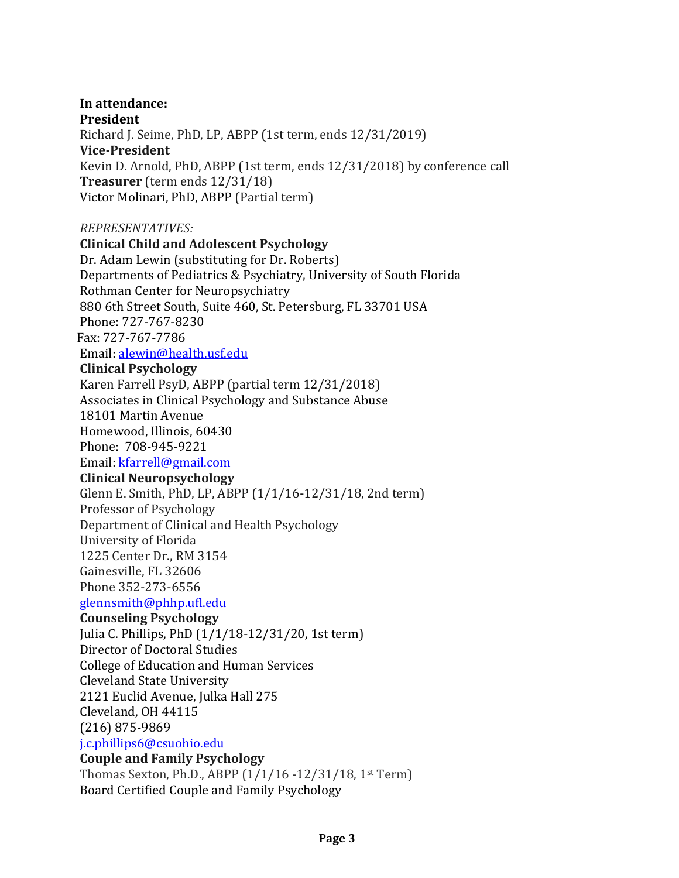#### **In attendance:**

**President** Richard J. Seime, PhD, LP, ABPP (1st term, ends 12/31/2019) **Vice-President** Kevin D. Arnold, PhD, ABPP (1st term, ends 12/31/2018) by conference call **Treasurer** (term ends 12/31/18) Victor Molinari, PhD, ABPP (Partial term)

#### *REPRESENTATIVES:*

**Clinical Child and Adolescent Psychology** Dr. Adam Lewin (substituting for Dr. Roberts) Departments of Pediatrics & Psychiatry, University of South Florida Rothman Center for Neuropsychiatry 880 6th Street South, Suite 460, St. Petersburg, FL 33701 USA Phone: 727-767-8230 Fax: 727-767-7786 Email: alewin@health.usf.edu **Clinical Psychology** Karen Farrell PsyD, ABPP (partial term 12/31/2018) Associates in Clinical Psychology and Substance Abuse 18101 Martin Avenue Homewood, Illinois, 60430 Phone: 708-945-9221 Email: [kfarrell@gmail.com](mailto:kfarrell@gmail.com) **Clinical Neuropsychology** Glenn E. Smith, PhD, LP, ABPP (1/1/16-12/31/18, 2nd term) Professor of Psychology Department of Clinical and Health Psychology University of Florida 1225 Center Dr., RM 3154 Gainesville, FL 32606 Phone 352-273-6556 glennsmith@phhp.ufl.edu **Counseling Psychology** Julia C. Phillips, PhD (1/1/18-12/31/20, 1st term) Director of Doctoral Studies College of Education and Human Services Cleveland State University 2121 Euclid Avenue, Julka Hall 275 Cleveland, OH 44115 (216) 875-9869 j.c.phillips6@csuohio.edu **Couple and Family Psychology** Thomas Sexton, Ph.D., ABPP (1/1/16 -12/31/18, 1st Term) Board Certified Couple and Family Psychology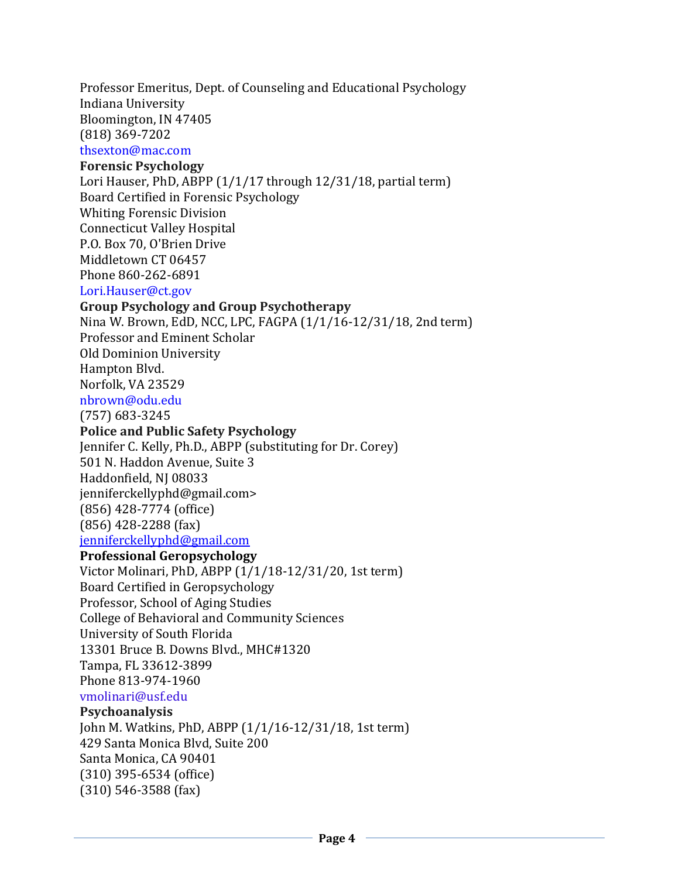Professor Emeritus, Dept. of Counseling and Educational Psychology Indiana University Bloomington, IN 47405 (818) 369-7202 thsexton@mac.com

#### **Forensic Psychology**

Lori Hauser, PhD, ABPP (1/1/17 through 12/31/18, partial term) Board Certified in Forensic Psychology Whiting Forensic Division Connecticut Valley Hospital P.O. Box 70, O'Brien Drive Middletown CT 06457 Phone 860-262-6891

#### Lori.Hauser@ct.gov

#### **Group Psychology and Group Psychotherapy**

Nina W. Brown, EdD, NCC, LPC, FAGPA (1/1/16-12/31/18, 2nd term) Professor and Eminent Scholar Old Dominion University Hampton Blvd. Norfolk, VA 23529 nbrown@odu.edu (757) 683-3245

#### **Police and Public Safety Psychology**

Jennifer C. Kelly, Ph.D., ABPP (substituting for Dr. Corey) 501 N. Haddon Avenue, Suite 3 Haddonfield, NJ 08033 jenniferckellyphd@gmail.com> (856) 428-7774 (office) (856) 428-2288 (fax) [jenniferckellyphd@gmail.com](mailto:jenniferckellyphd@gmail.com)

#### **Professional Geropsychology**

Victor Molinari, PhD, ABPP (1/1/18-12/31/20, 1st term) Board Certified in Geropsychology Professor, School of Aging Studies College of Behavioral and Community Sciences University of South Florida 13301 Bruce B. Downs Blvd., MHC#1320 Tampa, FL 33612-3899 Phone 813-974-1960 vmolinari@usf.edu

#### **Psychoanalysis**

John M. Watkins, PhD, ABPP (1/1/16-12/31/18, 1st term) 429 Santa Monica Blvd, Suite 200 Santa Monica, CA 90401 (310) 395-6534 (office) (310) 546-3588 (fax)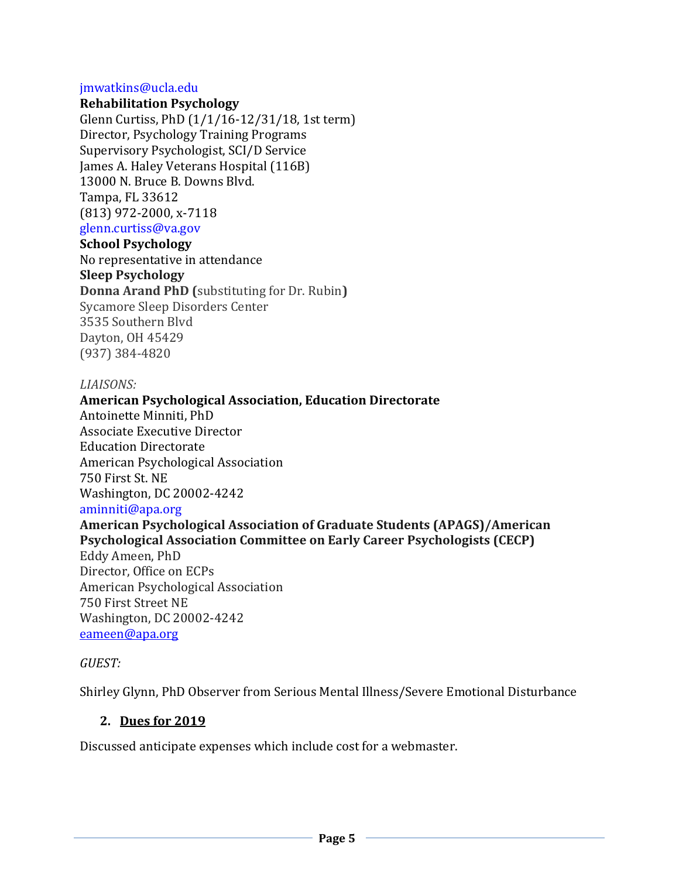#### jmwatkins@ucla.edu

#### **Rehabilitation Psychology**

Glenn Curtiss, PhD (1/1/16-12/31/18, 1st term) Director, Psychology Training Programs Supervisory Psychologist, SCI/D Service James A. Haley Veterans Hospital (116B) 13000 N. Bruce B. Downs Blvd. Tampa, FL 33612 (813) 972-2000, x-7118 glenn.curtiss@va.gov

**School Psychology** No representative in attendance **Sleep Psychology Donna Arand PhD (**substituting for Dr. Rubin**)** Sycamore Sleep Disorders Center 3535 Southern Blvd Dayton, OH 45429 (937) 384-4820

#### *LIAISONS:*

#### **American Psychological Association, Education Directorate** Antoinette Minniti, PhD Associate Executive Director Education Directorate American Psychological Association 750 First St. NE Washington, DC 20002-4242 aminniti@apa.org **American Psychological Association of Graduate Students (APAGS)/American**

**Psychological Association Committee on Early Career Psychologists (CECP)**

Eddy Ameen, PhD Director, Office on ECPs American Psychological Association 750 First Street NE Washington, DC 20002-4242 [eameen@apa.org](mailto:eameen@apa.org)

#### *GUEST:*

Shirley Glynn, PhD Observer from Serious Mental Illness/Severe Emotional Disturbance

#### **2. Dues for 2019**

Discussed anticipate expenses which include cost for a webmaster.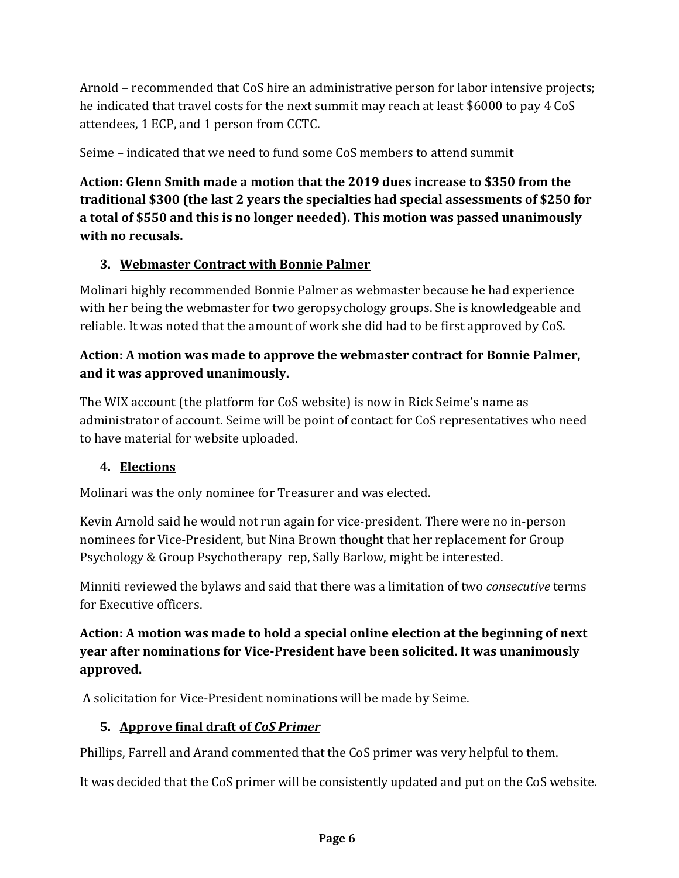Arnold – recommended that CoS hire an administrative person for labor intensive projects; he indicated that travel costs for the next summit may reach at least \$6000 to pay 4 CoS attendees, 1 ECP, and 1 person from CCTC.

Seime – indicated that we need to fund some CoS members to attend summit

**Action: Glenn Smith made a motion that the 2019 dues increase to \$350 from the traditional \$300 (the last 2 years the specialties had special assessments of \$250 for a total of \$550 and this is no longer needed). This motion was passed unanimously with no recusals.**

# **3. Webmaster Contract with Bonnie Palmer**

Molinari highly recommended Bonnie Palmer as webmaster because he had experience with her being the webmaster for two geropsychology groups. She is knowledgeable and reliable. It was noted that the amount of work she did had to be first approved by CoS.

### **Action: A motion was made to approve the webmaster contract for Bonnie Palmer, and it was approved unanimously.**

The WIX account (the platform for CoS website) is now in Rick Seime's name as administrator of account. Seime will be point of contact for CoS representatives who need to have material for website uploaded.

### **4. Elections**

Molinari was the only nominee for Treasurer and was elected.

Kevin Arnold said he would not run again for vice-president. There were no in-person nominees for Vice-President, but Nina Brown thought that her replacement for Group Psychology & Group Psychotherapy rep, Sally Barlow, might be interested.

Minniti reviewed the bylaws and said that there was a limitation of two *consecutive* terms for Executive officers.

# **Action: A motion was made to hold a special online election at the beginning of next year after nominations for Vice-President have been solicited. It was unanimously approved.**

A solicitation for Vice-President nominations will be made by Seime.

# **5. Approve final draft of** *CoS Primer*

Phillips, Farrell and Arand commented that the CoS primer was very helpful to them.

It was decided that the CoS primer will be consistently updated and put on the CoS website.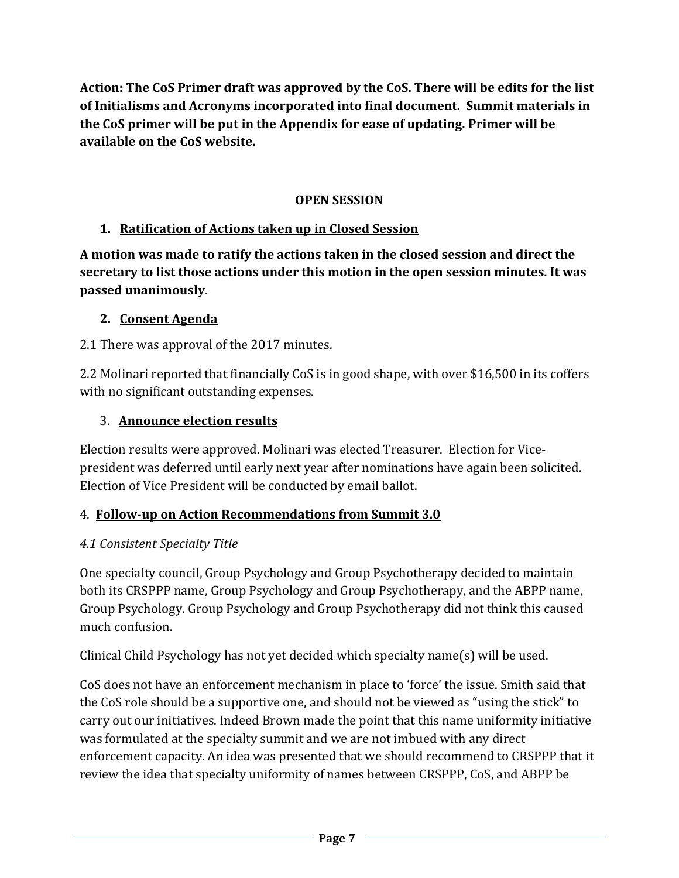**Action: The CoS Primer draft was approved by the CoS. There will be edits for the list of Initialisms and Acronyms incorporated into final document. Summit materials in the CoS primer will be put in the Appendix for ease of updating. Primer will be available on the CoS website.**

#### **OPEN SESSION**

#### **1. Ratification of Actions taken up in Closed Session**

**A motion was made to ratify the actions taken in the closed session and direct the secretary to list those actions under this motion in the open session minutes. It was passed unanimously**.

#### **2. Consent Agenda**

2.1 There was approval of the 2017 minutes.

2.2 Molinari reported that financially CoS is in good shape, with over \$16,500 in its coffers with no significant outstanding expenses.

### 3. **Announce election results**

Election results were approved. Molinari was elected Treasurer. Election for Vicepresident was deferred until early next year after nominations have again been solicited. Election of Vice President will be conducted by email ballot.

#### 4. **Follow-up on Action Recommendations from Summit 3.0**

### *4.1 Consistent Specialty Title*

One specialty council, Group Psychology and Group Psychotherapy decided to maintain both its CRSPPP name, Group Psychology and Group Psychotherapy, and the ABPP name, Group Psychology. Group Psychology and Group Psychotherapy did not think this caused much confusion.

Clinical Child Psychology has not yet decided which specialty name(s) will be used.

CoS does not have an enforcement mechanism in place to 'force' the issue. Smith said that the CoS role should be a supportive one, and should not be viewed as "using the stick" to carry out our initiatives. Indeed Brown made the point that this name uniformity initiative was formulated at the specialty summit and we are not imbued with any direct enforcement capacity. An idea was presented that we should recommend to CRSPPP that it review the idea that specialty uniformity of names between CRSPPP, CoS, and ABPP be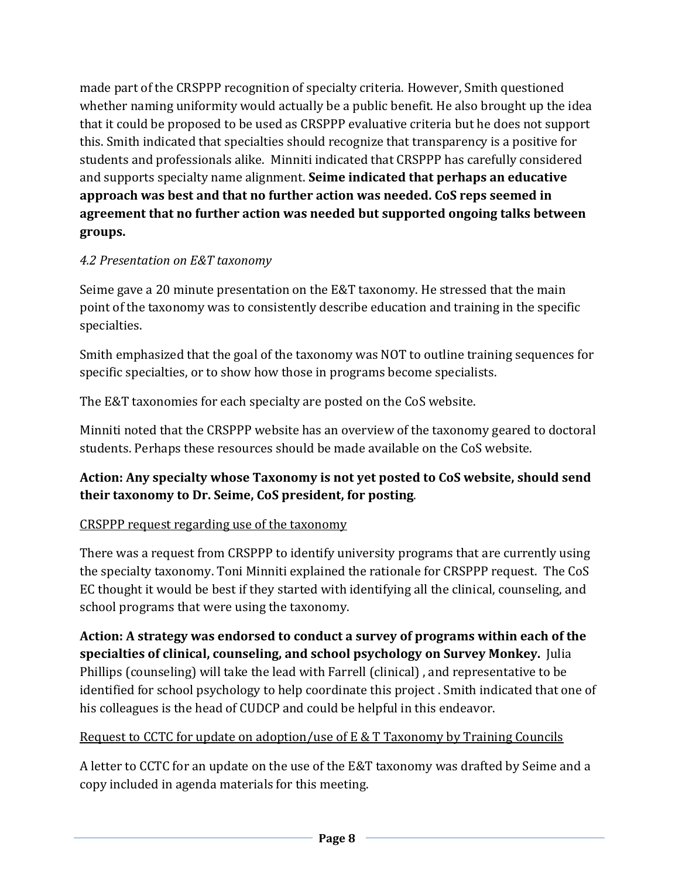made part of the CRSPPP recognition of specialty criteria. However, Smith questioned whether naming uniformity would actually be a public benefit. He also brought up the idea that it could be proposed to be used as CRSPPP evaluative criteria but he does not support this. Smith indicated that specialties should recognize that transparency is a positive for students and professionals alike. Minniti indicated that CRSPPP has carefully considered and supports specialty name alignment. **Seime indicated that perhaps an educative approach was best and that no further action was needed. CoS reps seemed in agreement that no further action was needed but supported ongoing talks between groups.**

#### *4.2 Presentation on E&T taxonomy*

Seime gave a 20 minute presentation on the E&T taxonomy. He stressed that the main point of the taxonomy was to consistently describe education and training in the specific specialties.

Smith emphasized that the goal of the taxonomy was NOT to outline training sequences for specific specialties, or to show how those in programs become specialists.

The E&T taxonomies for each specialty are posted on the CoS website.

Minniti noted that the CRSPPP website has an overview of the taxonomy geared to doctoral students. Perhaps these resources should be made available on the CoS website.

# **Action: Any specialty whose Taxonomy is not yet posted to CoS website, should send their taxonomy to Dr. Seime, CoS president, for posting**.

### CRSPPP request regarding use of the taxonomy

There was a request from CRSPPP to identify university programs that are currently using the specialty taxonomy. Toni Minniti explained the rationale for CRSPPP request. The CoS EC thought it would be best if they started with identifying all the clinical, counseling, and school programs that were using the taxonomy.

**Action: A strategy was endorsed to conduct a survey of programs within each of the specialties of clinical, counseling, and school psychology on Survey Monkey.** Julia Phillips (counseling) will take the lead with Farrell (clinical) , and representative to be identified for school psychology to help coordinate this project . Smith indicated that one of his colleagues is the head of CUDCP and could be helpful in this endeavor.

### Request to CCTC for update on adoption/use of E & T Taxonomy by Training Councils

A letter to CCTC for an update on the use of the E&T taxonomy was drafted by Seime and a copy included in agenda materials for this meeting.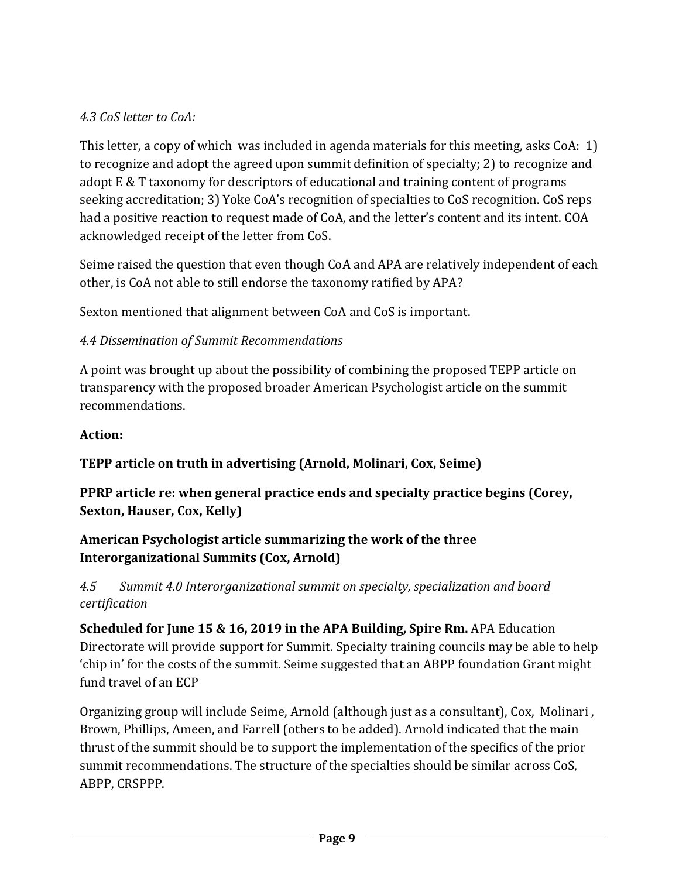#### *4.3 CoS letter to CoA:*

This letter, a copy of which was included in agenda materials for this meeting, asks CoA: 1) to recognize and adopt the agreed upon summit definition of specialty; 2) to recognize and adopt E & T taxonomy for descriptors of educational and training content of programs seeking accreditation; 3) Yoke CoA's recognition of specialties to CoS recognition. CoS reps had a positive reaction to request made of CoA, and the letter's content and its intent. COA acknowledged receipt of the letter from CoS.

Seime raised the question that even though CoA and APA are relatively independent of each other, is CoA not able to still endorse the taxonomy ratified by APA?

Sexton mentioned that alignment between CoA and CoS is important.

### *4.4 Dissemination of Summit Recommendations*

A point was brought up about the possibility of combining the proposed TEPP article on transparency with the proposed broader American Psychologist article on the summit recommendations.

#### **Action:**

**TEPP article on truth in advertising (Arnold, Molinari, Cox, Seime)**

**PPRP article re: when general practice ends and specialty practice begins (Corey, Sexton, Hauser, Cox, Kelly)**

### **American Psychologist article summarizing the work of the three Interorganizational Summits (Cox, Arnold)**

*4.5 Summit 4.0 Interorganizational summit on specialty, specialization and board certification*

**Scheduled for June 15 & 16, 2019 in the APA Building, Spire Rm.** APA Education Directorate will provide support for Summit. Specialty training councils may be able to help 'chip in' for the costs of the summit. Seime suggested that an ABPP foundation Grant might fund travel of an ECP

Organizing group will include Seime, Arnold (although just as a consultant), Cox, Molinari , Brown, Phillips, Ameen, and Farrell (others to be added). Arnold indicated that the main thrust of the summit should be to support the implementation of the specifics of the prior summit recommendations. The structure of the specialties should be similar across CoS, ABPP, CRSPPP.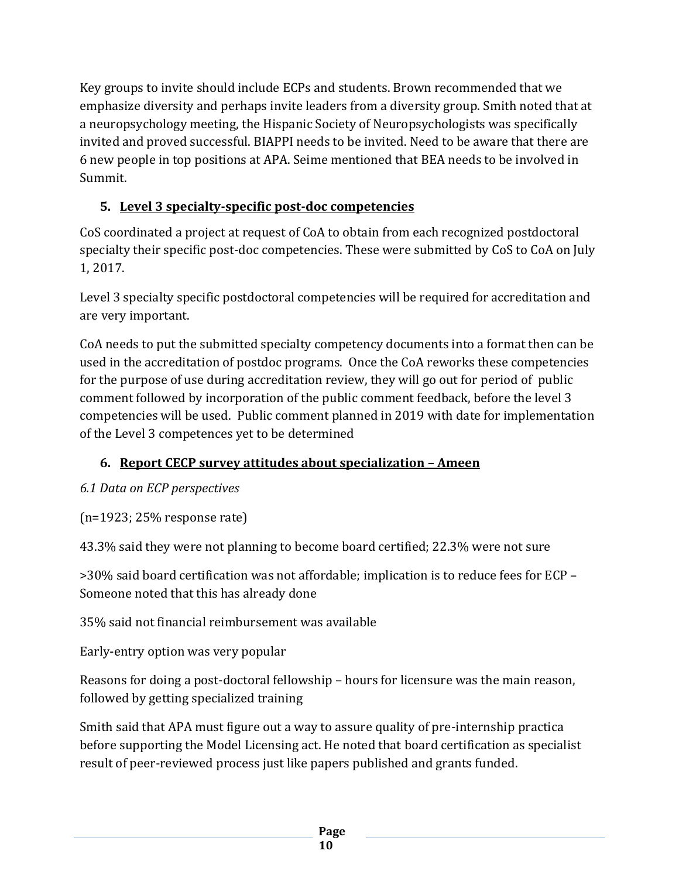Key groups to invite should include ECPs and students. Brown recommended that we emphasize diversity and perhaps invite leaders from a diversity group. Smith noted that at a neuropsychology meeting, the Hispanic Society of Neuropsychologists was specifically invited and proved successful. BIAPPI needs to be invited. Need to be aware that there are 6 new people in top positions at APA. Seime mentioned that BEA needs to be involved in Summit.

# **5. Level 3 specialty-specific post-doc competencies**

CoS coordinated a project at request of CoA to obtain from each recognized postdoctoral specialty their specific post-doc competencies. These were submitted by CoS to CoA on July 1, 2017.

Level 3 specialty specific postdoctoral competencies will be required for accreditation and are very important.

CoA needs to put the submitted specialty competency documents into a format then can be used in the accreditation of postdoc programs. Once the CoA reworks these competencies for the purpose of use during accreditation review, they will go out for period of public comment followed by incorporation of the public comment feedback, before the level 3 competencies will be used. Public comment planned in 2019 with date for implementation of the Level 3 competences yet to be determined

# **6. Report CECP survey attitudes about specialization – Ameen**

- *6.1 Data on ECP perspectives*
- (n=1923; 25% response rate)

43.3% said they were not planning to become board certified; 22.3% were not sure

>30% said board certification was not affordable; implication is to reduce fees for ECP – Someone noted that this has already done

35% said not financial reimbursement was available

Early-entry option was very popular

Reasons for doing a post-doctoral fellowship – hours for licensure was the main reason, followed by getting specialized training

Smith said that APA must figure out a way to assure quality of pre-internship practica before supporting the Model Licensing act. He noted that board certification as specialist result of peer-reviewed process just like papers published and grants funded.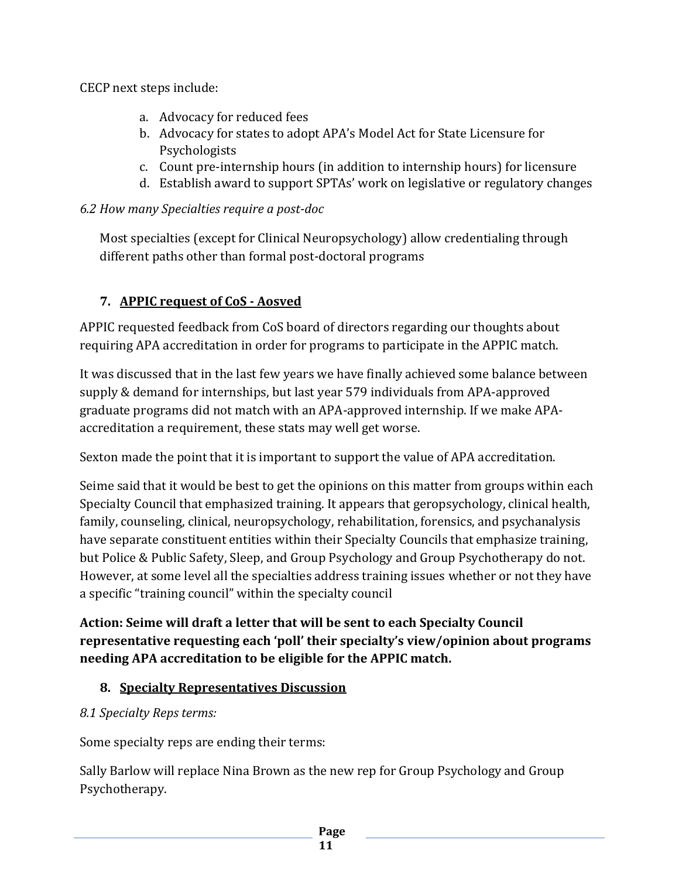CECP next steps include:

- a. Advocacy for reduced fees
- b. Advocacy for states to adopt APA's Model Act for State Licensure for Psychologists
- c. Count pre-internship hours (in addition to internship hours) for licensure
- d. Establish award to support SPTAs' work on legislative or regulatory changes

## *6.2 How many Specialties require a post-doc*

Most specialties (except for Clinical Neuropsychology) allow credentialing through different paths other than formal post-doctoral programs

# **7. APPIC request of CoS - Aosved**

APPIC requested feedback from CoS board of directors regarding our thoughts about requiring APA accreditation in order for programs to participate in the APPIC match.

It was discussed that in the last few years we have finally achieved some balance between supply & demand for internships, but last year 579 individuals from APA-approved graduate programs did not match with an APA-approved internship. If we make APAaccreditation a requirement, these stats may well get worse.

Sexton made the point that it is important to support the value of APA accreditation.

Seime said that it would be best to get the opinions on this matter from groups within each Specialty Council that emphasized training. It appears that geropsychology, clinical health, family, counseling, clinical, neuropsychology, rehabilitation, forensics, and psychanalysis have separate constituent entities within their Specialty Councils that emphasize training, but Police & Public Safety, Sleep, and Group Psychology and Group Psychotherapy do not. However, at some level all the specialties address training issues whether or not they have a specific "training council" within the specialty council

**Action: Seime will draft a letter that will be sent to each Specialty Council representative requesting each 'poll' their specialty's view/opinion about programs needing APA accreditation to be eligible for the APPIC match.**

# **8. Specialty Representatives Discussion**

# *8.1 Specialty Reps terms:*

Some specialty reps are ending their terms:

Sally Barlow will replace Nina Brown as the new rep for Group Psychology and Group Psychotherapy.